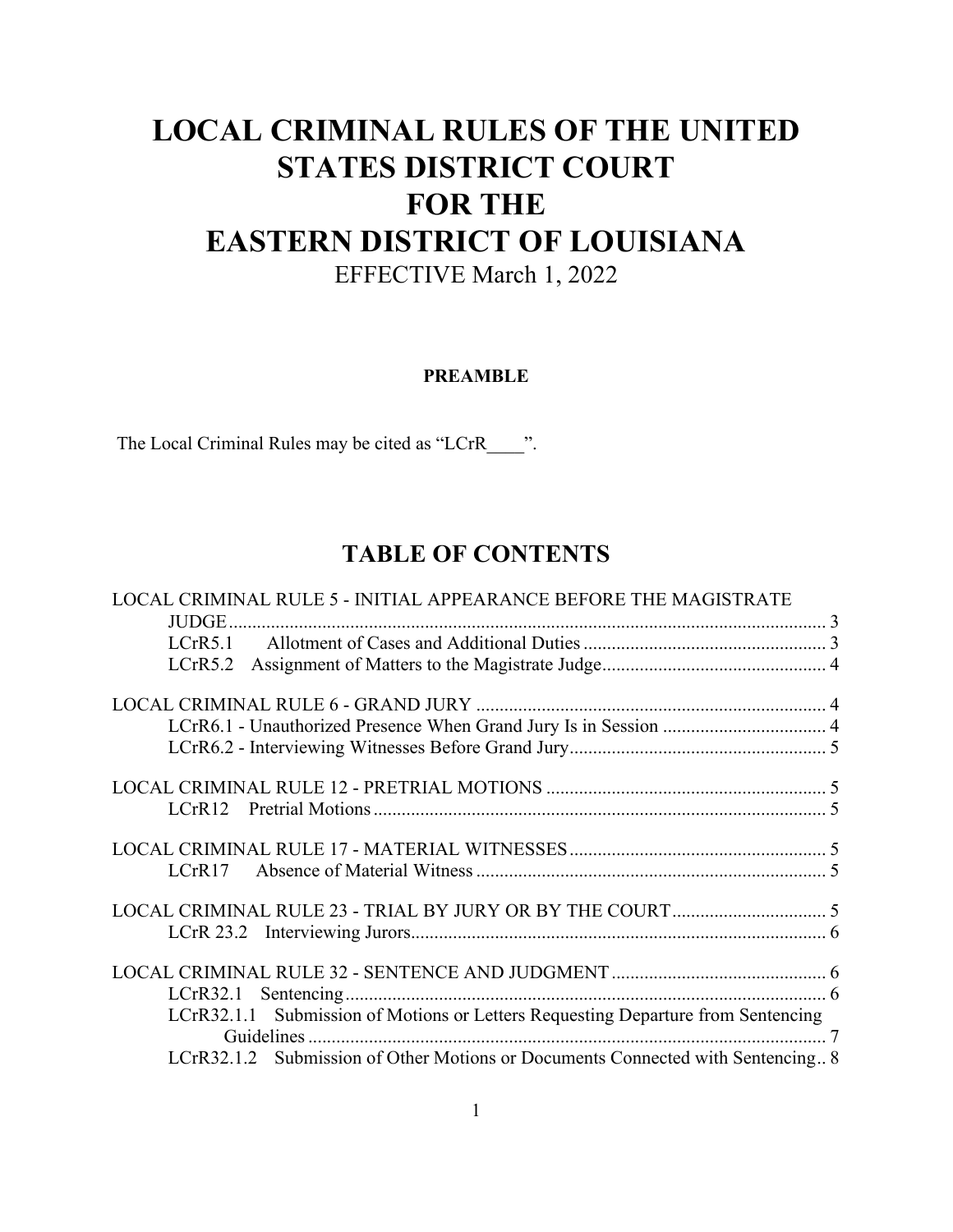# **LOCAL CRIMINAL RULES OF THE UNITED STATES DISTRICT COURT FOR THE EASTERN DISTRICT OF LOUISIANA** EFFECTIVE March 1, 2022

#### **PREAMBLE**

The Local Criminal Rules may be cited as "LCrR\_\_\_\_\_".

# **TABLE OF CONTENTS**

| LOCAL CRIMINAL RULE 5 - INITIAL APPEARANCE BEFORE THE MAGISTRATE                 |  |
|----------------------------------------------------------------------------------|--|
|                                                                                  |  |
|                                                                                  |  |
| LCrR5.2                                                                          |  |
|                                                                                  |  |
|                                                                                  |  |
|                                                                                  |  |
|                                                                                  |  |
|                                                                                  |  |
|                                                                                  |  |
|                                                                                  |  |
|                                                                                  |  |
|                                                                                  |  |
|                                                                                  |  |
|                                                                                  |  |
| LCrR32.1.1 Submission of Motions or Letters Requesting Departure from Sentencing |  |
|                                                                                  |  |
| LCrR32.1.2 Submission of Other Motions or Documents Connected with Sentencing 8  |  |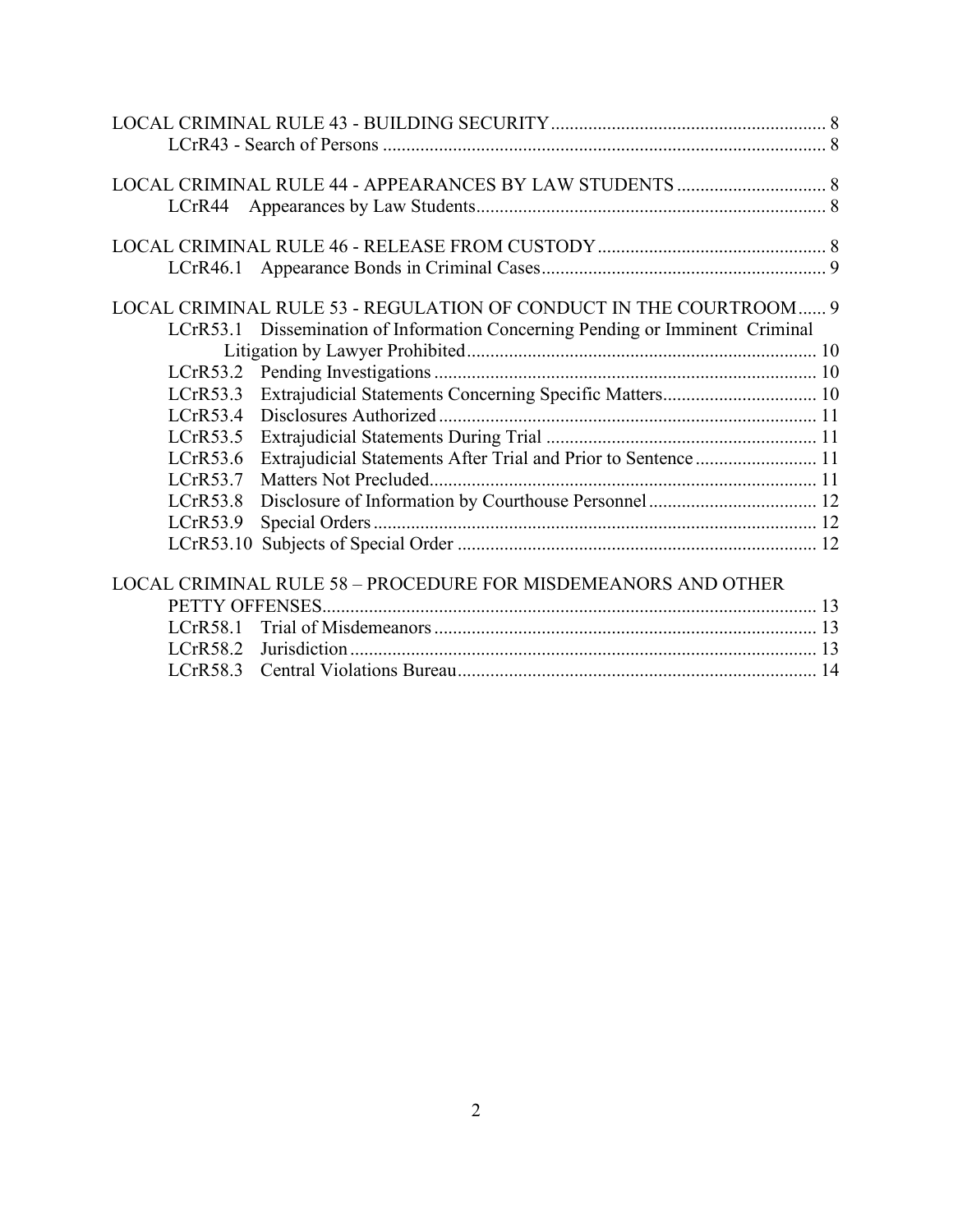|          | LOCAL CRIMINAL RULE 44 - APPEARANCES BY LAW STUDENTS  8                       |  |
|----------|-------------------------------------------------------------------------------|--|
| LCrR44   |                                                                               |  |
|          |                                                                               |  |
|          |                                                                               |  |
|          |                                                                               |  |
|          | LOCAL CRIMINAL RULE 53 - REGULATION OF CONDUCT IN THE COURTROOM 9             |  |
|          | LCrR53.1 Dissemination of Information Concerning Pending or Imminent Criminal |  |
|          |                                                                               |  |
|          |                                                                               |  |
|          | LCrR53.3 Extrajudicial Statements Concerning Specific Matters 10              |  |
|          |                                                                               |  |
| LCrR53.5 |                                                                               |  |
| LCrR53.6 | Extrajudicial Statements After Trial and Prior to Sentence  11                |  |
| LCrR53.7 |                                                                               |  |
| LCrR53.8 |                                                                               |  |
| LCrR53.9 |                                                                               |  |
|          |                                                                               |  |
|          | LOCAL CRIMINAL RULE 58 - PROCEDURE FOR MISDEMEANORS AND OTHER                 |  |
|          |                                                                               |  |
| LCrR58.1 |                                                                               |  |
| LCrR58.2 |                                                                               |  |
|          |                                                                               |  |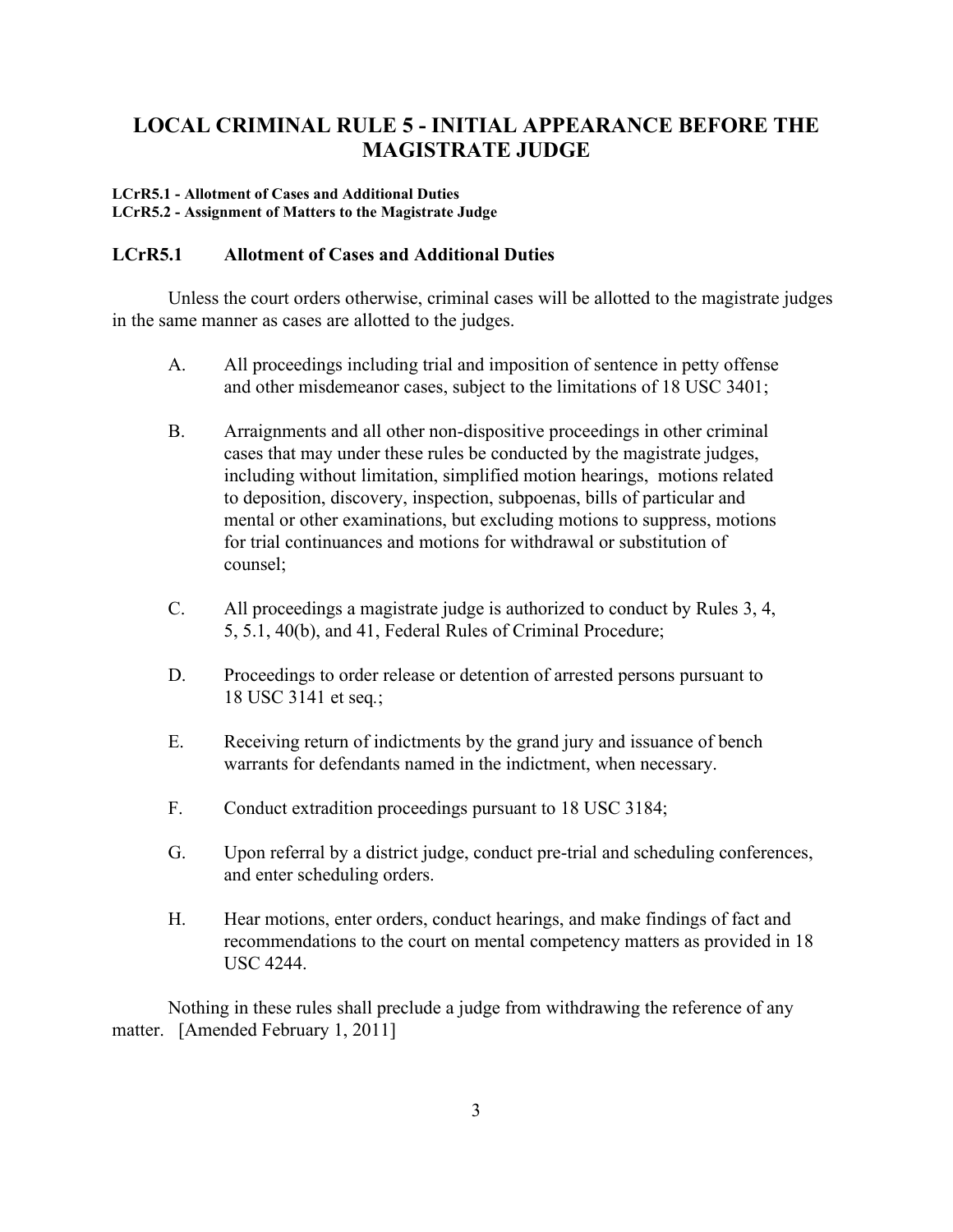# <span id="page-2-0"></span>**LOCAL CRIMINAL RULE 5 - INITIAL APPEARANCE BEFORE THE MAGISTRATE JUDGE**

#### **LCrR5.1 - Allotment of Cases and Additional Duties LCrR5.2 - Assignment of Matters to the Magistrate Judge**

# <span id="page-2-1"></span>**LCrR5.1 Allotment of Cases and Additional Duties**

Unless the court orders otherwise, criminal cases will be allotted to the magistrate judges in the same manner as cases are allotted to the judges.

- A. All proceedings including trial and imposition of sentence in petty offense and other misdemeanor cases, subject to the limitations of 18 USC 3401;
- B. Arraignments and all other non-dispositive proceedings in other criminal cases that may under these rules be conducted by the magistrate judges, including without limitation, simplified motion hearings, motions related to deposition, discovery, inspection, subpoenas, bills of particular and mental or other examinations, but excluding motions to suppress, motions for trial continuances and motions for withdrawal or substitution of counsel;
- C. All proceedings a magistrate judge is authorized to conduct by Rules 3, 4, 5, 5.1, 40(b), and 41, Federal Rules of Criminal Procedure;
- D. Proceedings to order release or detention of arrested persons pursuant to 18 USC 3141 et seq*.*;
- E. Receiving return of indictments by the grand jury and issuance of bench warrants for defendants named in the indictment, when necessary.
- F. Conduct extradition proceedings pursuant to 18 USC 3184;
- G. Upon referral by a district judge, conduct pre-trial and scheduling conferences, and enter scheduling orders.
- H. Hear motions, enter orders, conduct hearings, and make findings of fact and recommendations to the court on mental competency matters as provided in 18 USC 4244.

Nothing in these rules shall preclude a judge from withdrawing the reference of any matter. [Amended February 1, 2011]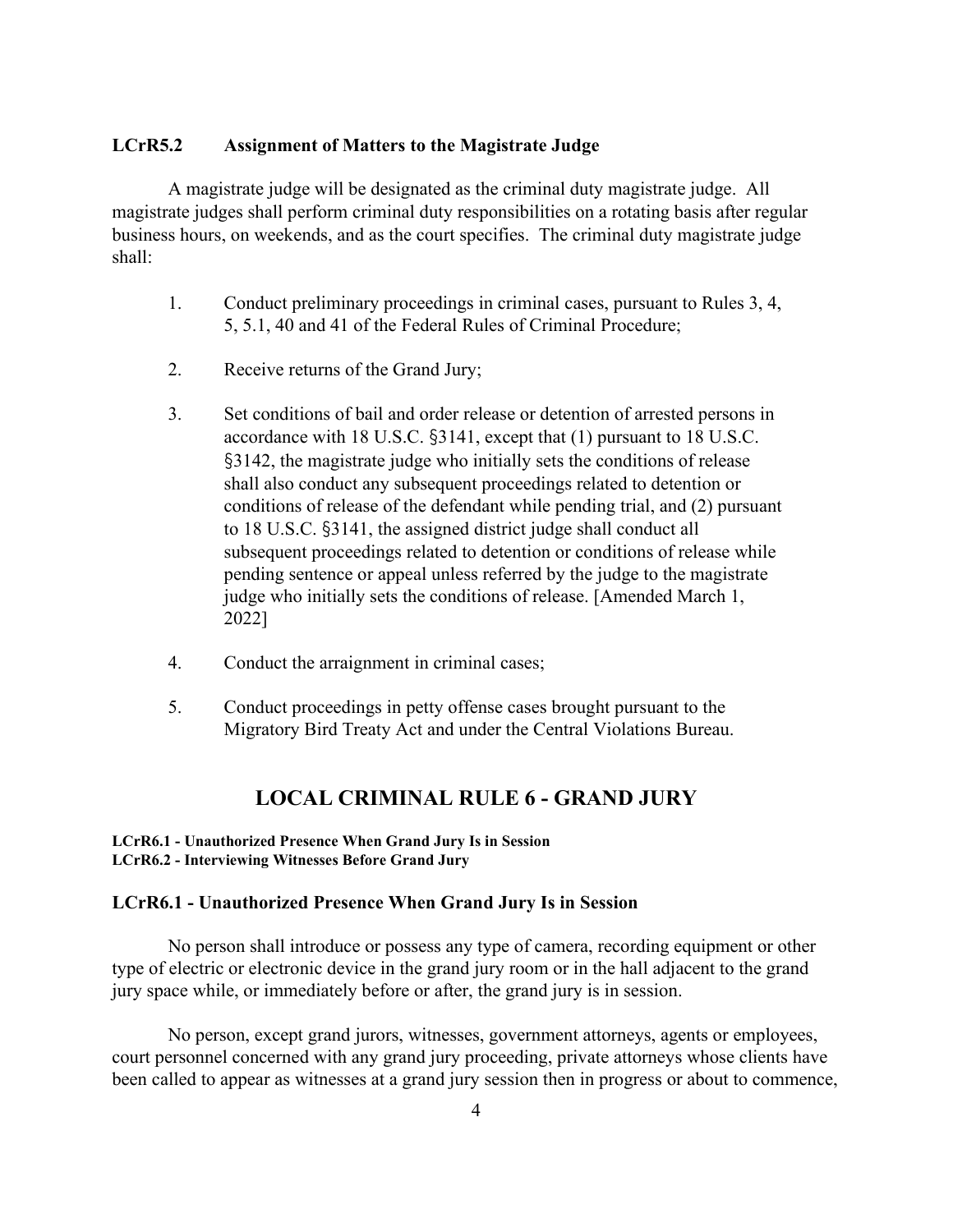# <span id="page-3-0"></span>**LCrR5.2 Assignment of Matters to the Magistrate Judge**

A magistrate judge will be designated as the criminal duty magistrate judge. All magistrate judges shall perform criminal duty responsibilities on a rotating basis after regular business hours, on weekends, and as the court specifies. The criminal duty magistrate judge shall:

- 1. Conduct preliminary proceedings in criminal cases, pursuant to Rules 3, 4, 5, 5.1, 40 and 41 of the Federal Rules of Criminal Procedure;
- 2. Receive returns of the Grand Jury;
- 3. Set conditions of bail and order release or detention of arrested persons in accordance with 18 U.S.C. §3141, except that (1) pursuant to 18 U.S.C. §3142, the magistrate judge who initially sets the conditions of release shall also conduct any subsequent proceedings related to detention or conditions of release of the defendant while pending trial, and (2) pursuant to 18 U.S.C. §3141, the assigned district judge shall conduct all subsequent proceedings related to detention or conditions of release while pending sentence or appeal unless referred by the judge to the magistrate judge who initially sets the conditions of release. [Amended March 1, 2022]
- 4. Conduct the arraignment in criminal cases;
- 5. Conduct proceedings in petty offense cases brought pursuant to the Migratory Bird Treaty Act and under the Central Violations Bureau.

# **LOCAL CRIMINAL RULE 6 - GRAND JURY**

#### <span id="page-3-1"></span>**LCrR6.1 - Unauthorized Presence When Grand Jury Is in Session LCrR6.2 - Interviewing Witnesses Before Grand Jury**

#### <span id="page-3-2"></span>**LCrR6.1 - Unauthorized Presence When Grand Jury Is in Session**

No person shall introduce or possess any type of camera, recording equipment or other type of electric or electronic device in the grand jury room or in the hall adjacent to the grand jury space while, or immediately before or after, the grand jury is in session.

No person, except grand jurors, witnesses, government attorneys, agents or employees, court personnel concerned with any grand jury proceeding, private attorneys whose clients have been called to appear as witnesses at a grand jury session then in progress or about to commence,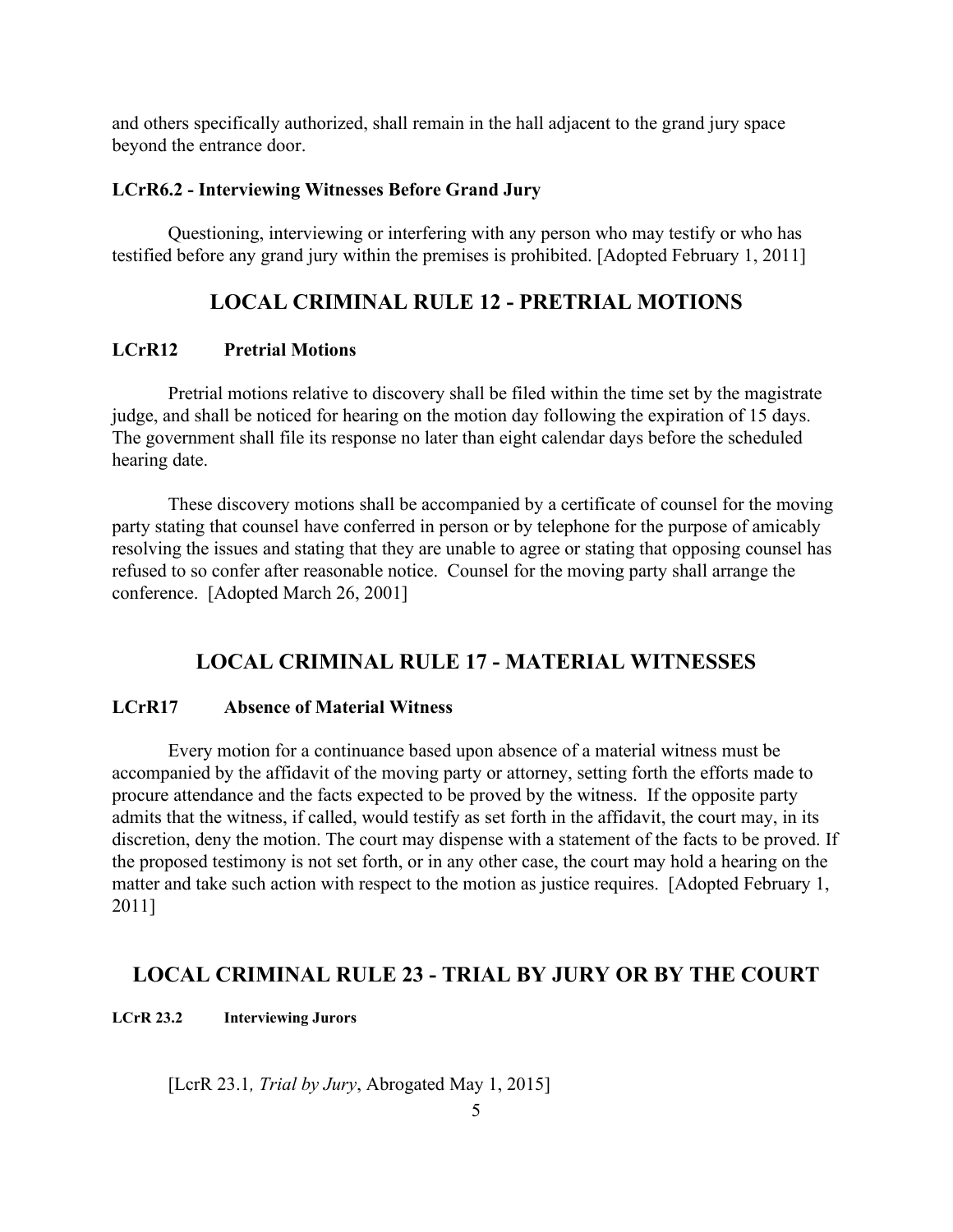and others specifically authorized, shall remain in the hall adjacent to the grand jury space beyond the entrance door.

#### <span id="page-4-0"></span>**LCrR6.2 - Interviewing Witnesses Before Grand Jury**

Questioning, interviewing or interfering with any person who may testify or who has testified before any grand jury within the premises is prohibited. [Adopted February 1, 2011]

# **LOCAL CRIMINAL RULE 12 - PRETRIAL MOTIONS**

#### <span id="page-4-2"></span><span id="page-4-1"></span>**LCrR12 Pretrial Motions**

Pretrial motions relative to discovery shall be filed within the time set by the magistrate judge, and shall be noticed for hearing on the motion day following the expiration of 15 days. The government shall file its response no later than eight calendar days before the scheduled hearing date.

These discovery motions shall be accompanied by a certificate of counsel for the moving party stating that counsel have conferred in person or by telephone for the purpose of amicably resolving the issues and stating that they are unable to agree or stating that opposing counsel has refused to so confer after reasonable notice. Counsel for the moving party shall arrange the conference. [Adopted March 26, 2001]

# **LOCAL CRIMINAL RULE 17 - MATERIAL WITNESSES**

#### <span id="page-4-4"></span><span id="page-4-3"></span>**LCrR17 Absence of Material Witness**

Every motion for a continuance based upon absence of a material witness must be accompanied by the affidavit of the moving party or attorney, setting forth the efforts made to procure attendance and the facts expected to be proved by the witness. If the opposite party admits that the witness, if called, would testify as set forth in the affidavit, the court may, in its discretion, deny the motion. The court may dispense with a statement of the facts to be proved. If the proposed testimony is not set forth, or in any other case, the court may hold a hearing on the matter and take such action with respect to the motion as justice requires. [Adopted February 1, 2011]

#### <span id="page-4-5"></span>**LOCAL CRIMINAL RULE 23 - TRIAL BY JURY OR BY THE COURT**

#### **LCrR 23.2 Interviewing Jurors**

[LcrR 23.1*, Trial by Jury*, Abrogated May 1, 2015]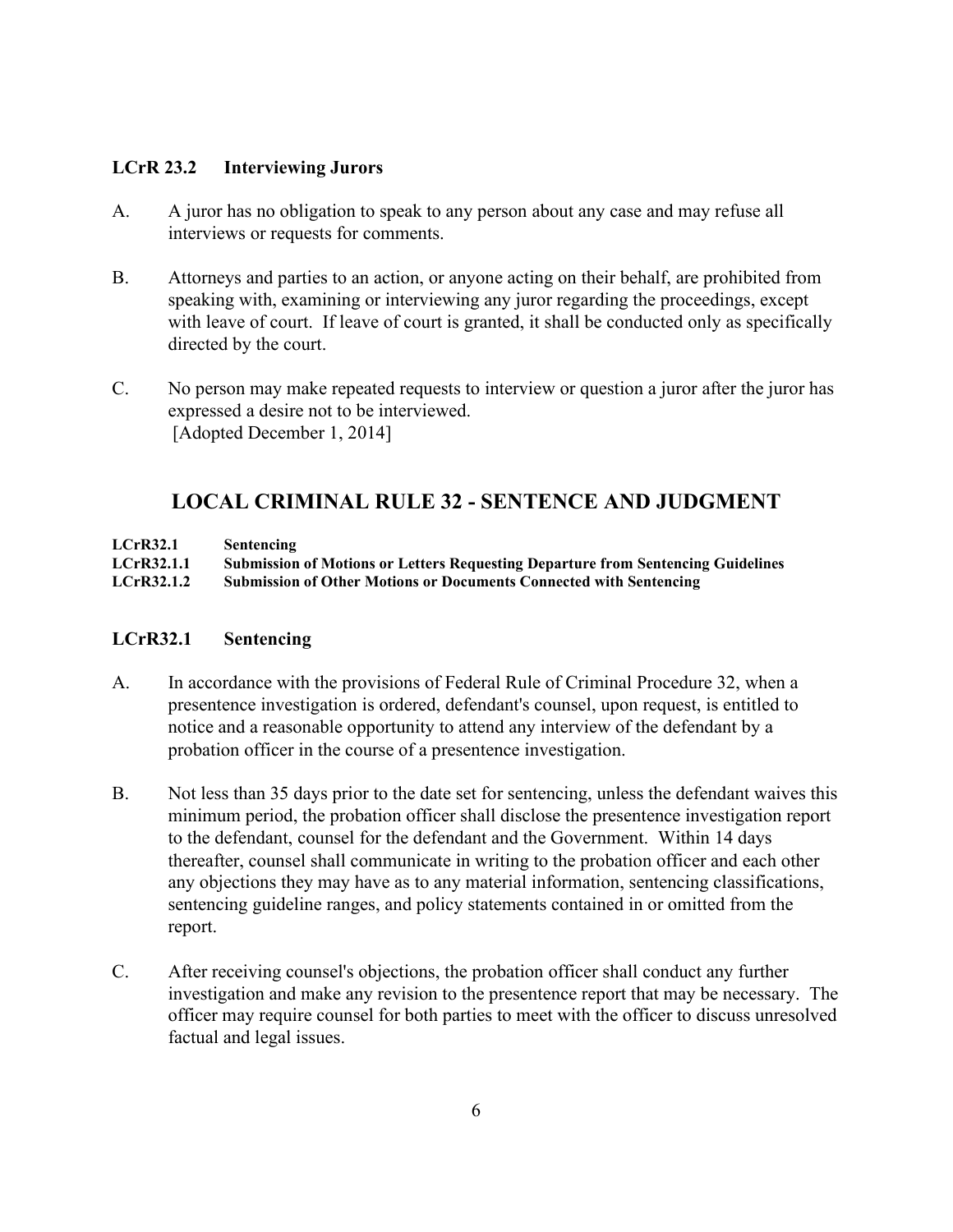# <span id="page-5-0"></span>**LCrR 23.2 Interviewing Jurors**

- A. A juror has no obligation to speak to any person about any case and may refuse all interviews or requests for comments.
- B. Attorneys and parties to an action, or anyone acting on their behalf, are prohibited from speaking with, examining or interviewing any juror regarding the proceedings, except with leave of court. If leave of court is granted, it shall be conducted only as specifically directed by the court.
- C. No person may make repeated requests to interview or question a juror after the juror has expressed a desire not to be interviewed. [Adopted December 1, 2014]

# **LOCAL CRIMINAL RULE 32 - SENTENCE AND JUDGMENT**

<span id="page-5-1"></span>

| <b>LCrR32.1</b>   | Sentencing                                                                              |
|-------------------|-----------------------------------------------------------------------------------------|
| <b>LCrR32.1.1</b> | <b>Submission of Motions or Letters Requesting Departure from Sentencing Guidelines</b> |
| <b>LCrR32.1.2</b> | <b>Submission of Other Motions or Documents Connected with Sentencing</b>               |

# <span id="page-5-2"></span>**LCrR32.1 Sentencing**

- A. In accordance with the provisions of Federal Rule of Criminal Procedure 32, when a presentence investigation is ordered, defendant's counsel, upon request, is entitled to notice and a reasonable opportunity to attend any interview of the defendant by a probation officer in the course of a presentence investigation.
- B. Not less than 35 days prior to the date set for sentencing, unless the defendant waives this minimum period, the probation officer shall disclose the presentence investigation report to the defendant, counsel for the defendant and the Government. Within 14 days thereafter, counsel shall communicate in writing to the probation officer and each other any objections they may have as to any material information, sentencing classifications, sentencing guideline ranges, and policy statements contained in or omitted from the report.
- C. After receiving counsel's objections, the probation officer shall conduct any further investigation and make any revision to the presentence report that may be necessary. The officer may require counsel for both parties to meet with the officer to discuss unresolved factual and legal issues.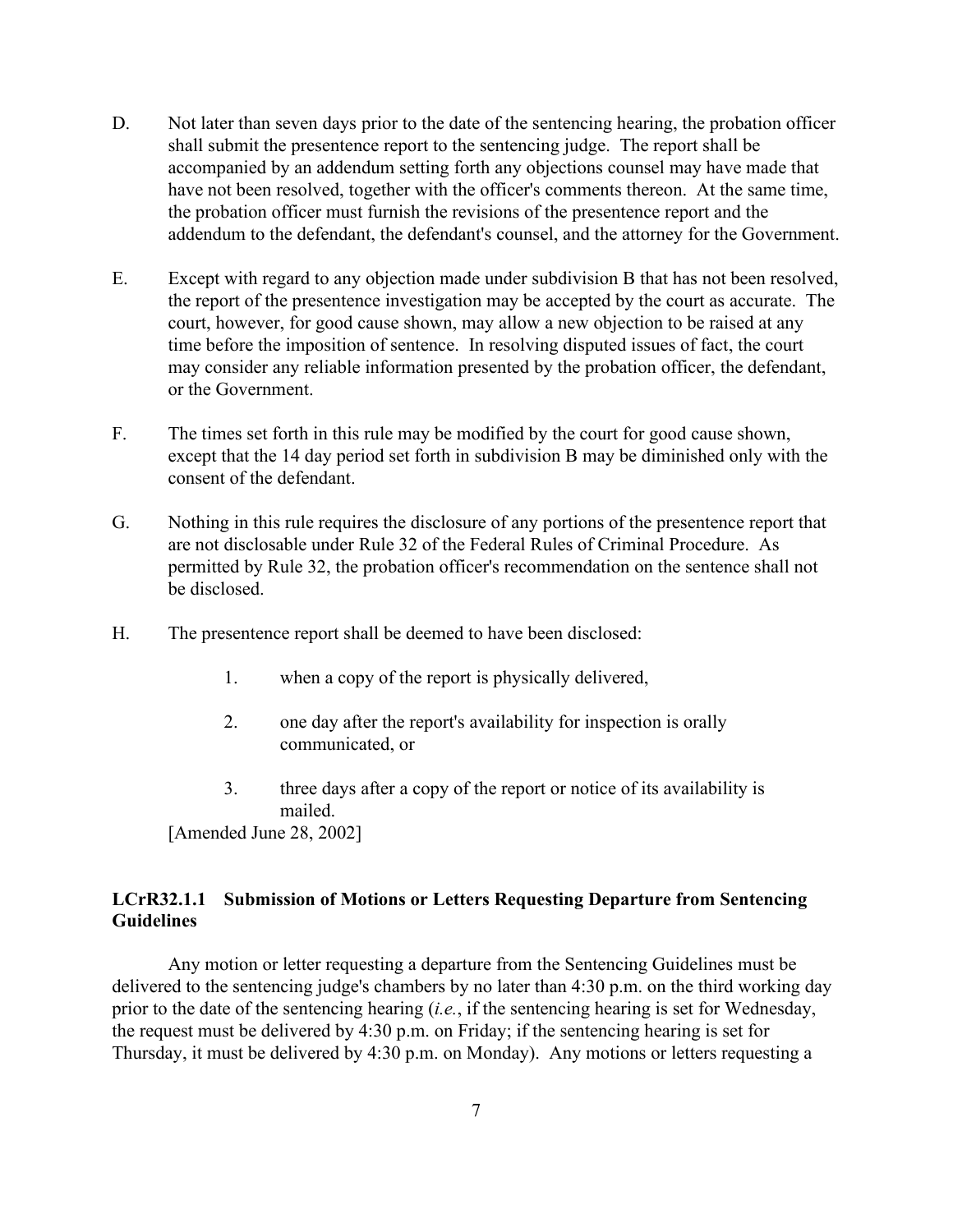- D. Not later than seven days prior to the date of the sentencing hearing, the probation officer shall submit the presentence report to the sentencing judge. The report shall be accompanied by an addendum setting forth any objections counsel may have made that have not been resolved, together with the officer's comments thereon. At the same time, the probation officer must furnish the revisions of the presentence report and the addendum to the defendant, the defendant's counsel, and the attorney for the Government.
- E. Except with regard to any objection made under subdivision B that has not been resolved, the report of the presentence investigation may be accepted by the court as accurate. The court, however, for good cause shown, may allow a new objection to be raised at any time before the imposition of sentence. In resolving disputed issues of fact, the court may consider any reliable information presented by the probation officer, the defendant, or the Government.
- F. The times set forth in this rule may be modified by the court for good cause shown, except that the 14 day period set forth in subdivision B may be diminished only with the consent of the defendant.
- G. Nothing in this rule requires the disclosure of any portions of the presentence report that are not disclosable under Rule 32 of the Federal Rules of Criminal Procedure. As permitted by Rule 32, the probation officer's recommendation on the sentence shall not be disclosed.
- H. The presentence report shall be deemed to have been disclosed:
	- 1. when a copy of the report is physically delivered,
	- 2. one day after the report's availability for inspection is orally communicated, or
	- 3. three days after a copy of the report or notice of its availability is mailed.

[Amended June 28, 2002]

# <span id="page-6-0"></span>**LCrR32.1.1 Submission of Motions or Letters Requesting Departure from Sentencing Guidelines**

Any motion or letter requesting a departure from the Sentencing Guidelines must be delivered to the sentencing judge's chambers by no later than 4:30 p.m. on the third working day prior to the date of the sentencing hearing (*i.e.*, if the sentencing hearing is set for Wednesday, the request must be delivered by 4:30 p.m. on Friday; if the sentencing hearing is set for Thursday, it must be delivered by 4:30 p.m. on Monday). Any motions or letters requesting a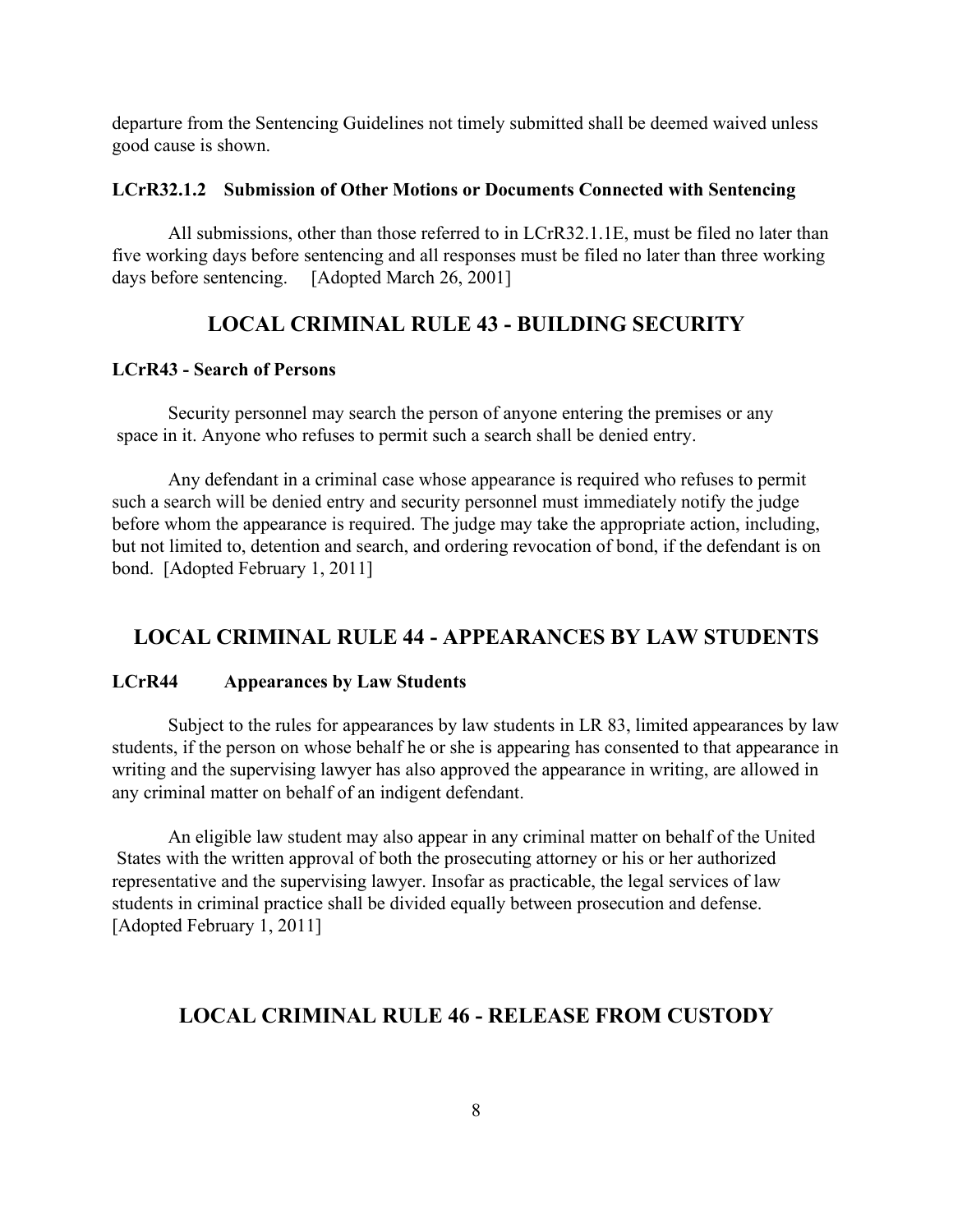departure from the Sentencing Guidelines not timely submitted shall be deemed waived unless good cause is shown.

#### <span id="page-7-0"></span>**LCrR32.1.2 Submission of Other Motions or Documents Connected with Sentencing**

All submissions, other than those referred to in LCrR32.1.1E, must be filed no later than five working days before sentencing and all responses must be filed no later than three working days before sentencing. [Adopted March 26, 2001]

# **LOCAL CRIMINAL RULE 43 - BUILDING SECURITY**

#### <span id="page-7-2"></span><span id="page-7-1"></span>**LCrR43 - Search of Persons**

Security personnel may search the person of anyone entering the premises or any space in it. Anyone who refuses to permit such a search shall be denied entry.

Any defendant in a criminal case whose appearance is required who refuses to permit such a search will be denied entry and security personnel must immediately notify the judge before whom the appearance is required. The judge may take the appropriate action, including, but not limited to, detention and search, and ordering revocation of bond, if the defendant is on bond.[Adopted February 1, 2011]

# <span id="page-7-3"></span>**LOCAL CRIMINAL RULE 44 - APPEARANCES BY LAW STUDENTS**

#### <span id="page-7-4"></span>**LCrR44 Appearances by Law Students**

Subject to the rules for appearances by law students in LR 83, limited appearances by law students, if the person on whose behalf he or she is appearing has consented to that appearance in writing and the supervising lawyer has also approved the appearance in writing, are allowed in any criminal matter on behalf of an indigent defendant.

An eligible law student may also appear in any criminal matter on behalf of the United States with the written approval of both the prosecuting attorney or his or her authorized representative and the supervising lawyer. Insofar as practicable, the legal services of law students in criminal practice shall be divided equally between prosecution and defense. [Adopted February 1, 2011]

# <span id="page-7-5"></span>**LOCAL CRIMINAL RULE 46 - RELEASE FROM CUSTODY**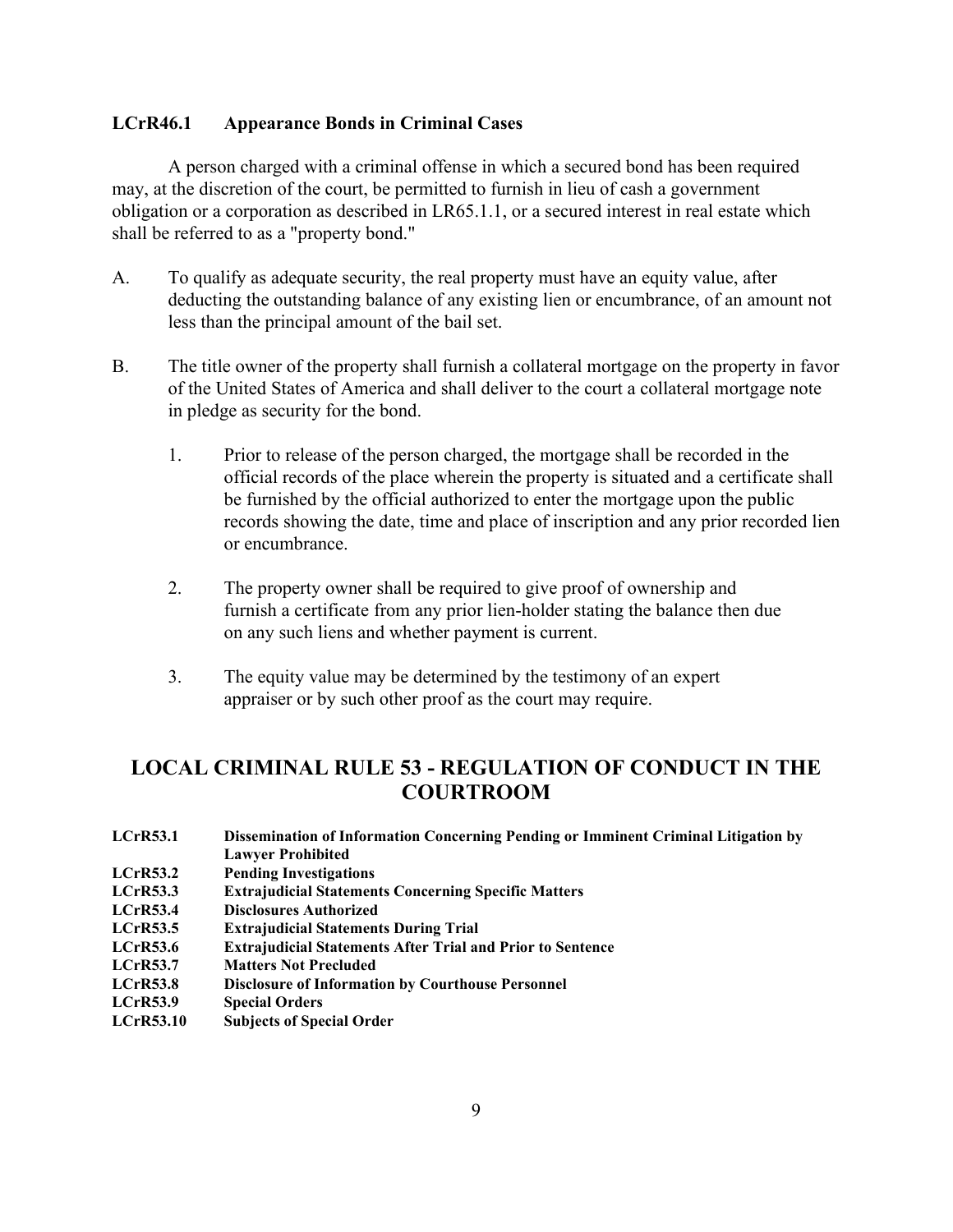# <span id="page-8-0"></span>**LCrR46.1 Appearance Bonds in Criminal Cases**

A person charged with a criminal offense in which a secured bond has been required may, at the discretion of the court, be permitted to furnish in lieu of cash a government obligation or a corporation as described in LR65.1.1, or a secured interest in real estate which shall be referred to as a "property bond."

- A. To qualify as adequate security, the real property must have an equity value, after deducting the outstanding balance of any existing lien or encumbrance, of an amount not less than the principal amount of the bail set.
- B. The title owner of the property shall furnish a collateral mortgage on the property in favor of the United States of America and shall deliver to the court a collateral mortgage note in pledge as security for the bond.
	- 1. Prior to release of the person charged, the mortgage shall be recorded in the official records of the place wherein the property is situated and a certificate shall be furnished by the official authorized to enter the mortgage upon the public records showing the date, time and place of inscription and any prior recorded lien or encumbrance.
	- 2. The property owner shall be required to give proof of ownership and furnish a certificate from any prior lien-holder stating the balance then due on any such liens and whether payment is current.
	- 3. The equity value may be determined by the testimony of an expert appraiser or by such other proof as the court may require.

# <span id="page-8-1"></span>**LOCAL CRIMINAL RULE 53 - REGULATION OF CONDUCT IN THE COURTROOM**

- **LCrR53.1 Dissemination of Information Concerning Pending or Imminent Criminal Litigation by Lawyer Prohibited**
- **LCrR53.2 Pending Investigations**
- **LCrR53.3 Extrajudicial Statements Concerning Specific Matters**
- **LCrR53.4 Disclosures Authorized**
- **LCrR53.5 Extrajudicial Statements During Trial**
- **LCrR53.6 Extrajudicial Statements After Trial and Prior to Sentence**
- **LCrR53.7 Matters Not Precluded**
- **LCrR53.8 Disclosure of Information by Courthouse Personnel**
- **LCrR53.9 Special Orders**
- **LCrR53.10 Subjects of Special Order**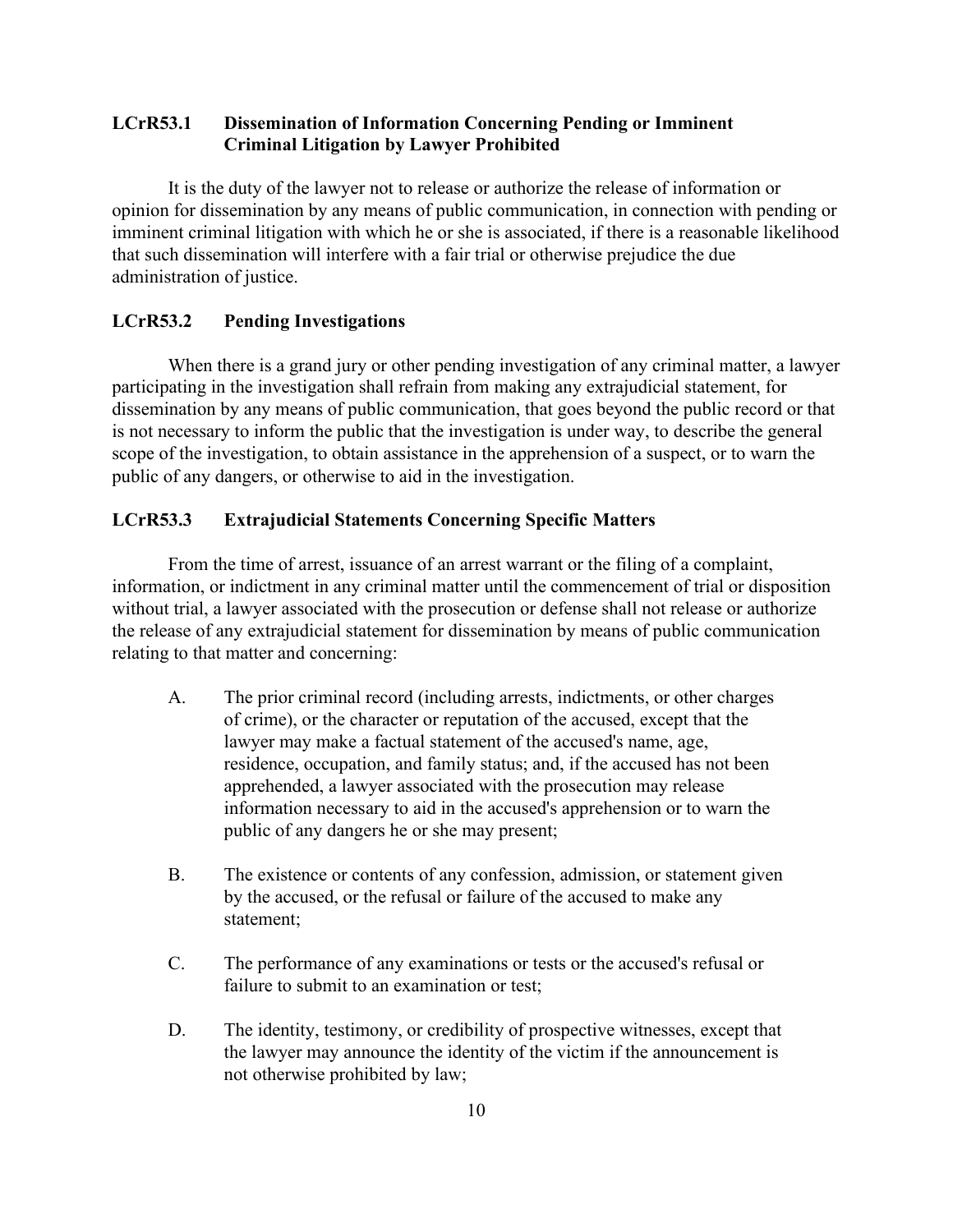# <span id="page-9-0"></span>**LCrR53.1 Dissemination of Information Concerning Pending or Imminent Criminal Litigation by Lawyer Prohibited**

It is the duty of the lawyer not to release or authorize the release of information or opinion for dissemination by any means of public communication, in connection with pending or imminent criminal litigation with which he or she is associated, if there is a reasonable likelihood that such dissemination will interfere with a fair trial or otherwise prejudice the due administration of justice.

### <span id="page-9-1"></span>**LCrR53.2 Pending Investigations**

When there is a grand jury or other pending investigation of any criminal matter, a lawyer participating in the investigation shall refrain from making any extrajudicial statement, for dissemination by any means of public communication, that goes beyond the public record or that is not necessary to inform the public that the investigation is under way, to describe the general scope of the investigation, to obtain assistance in the apprehension of a suspect, or to warn the public of any dangers, or otherwise to aid in the investigation.

#### <span id="page-9-2"></span>**LCrR53.3 Extrajudicial Statements Concerning Specific Matters**

From the time of arrest, issuance of an arrest warrant or the filing of a complaint, information, or indictment in any criminal matter until the commencement of trial or disposition without trial, a lawyer associated with the prosecution or defense shall not release or authorize the release of any extrajudicial statement for dissemination by means of public communication relating to that matter and concerning:

- A. The prior criminal record (including arrests, indictments, or other charges of crime), or the character or reputation of the accused, except that the lawyer may make a factual statement of the accused's name, age, residence, occupation, and family status; and, if the accused has not been apprehended, a lawyer associated with the prosecution may release information necessary to aid in the accused's apprehension or to warn the public of any dangers he or she may present;
- B. The existence or contents of any confession, admission, or statement given by the accused, or the refusal or failure of the accused to make any statement;
- C. The performance of any examinations or tests or the accused's refusal or failure to submit to an examination or test;
- D. The identity, testimony, or credibility of prospective witnesses, except that the lawyer may announce the identity of the victim if the announcement is not otherwise prohibited by law;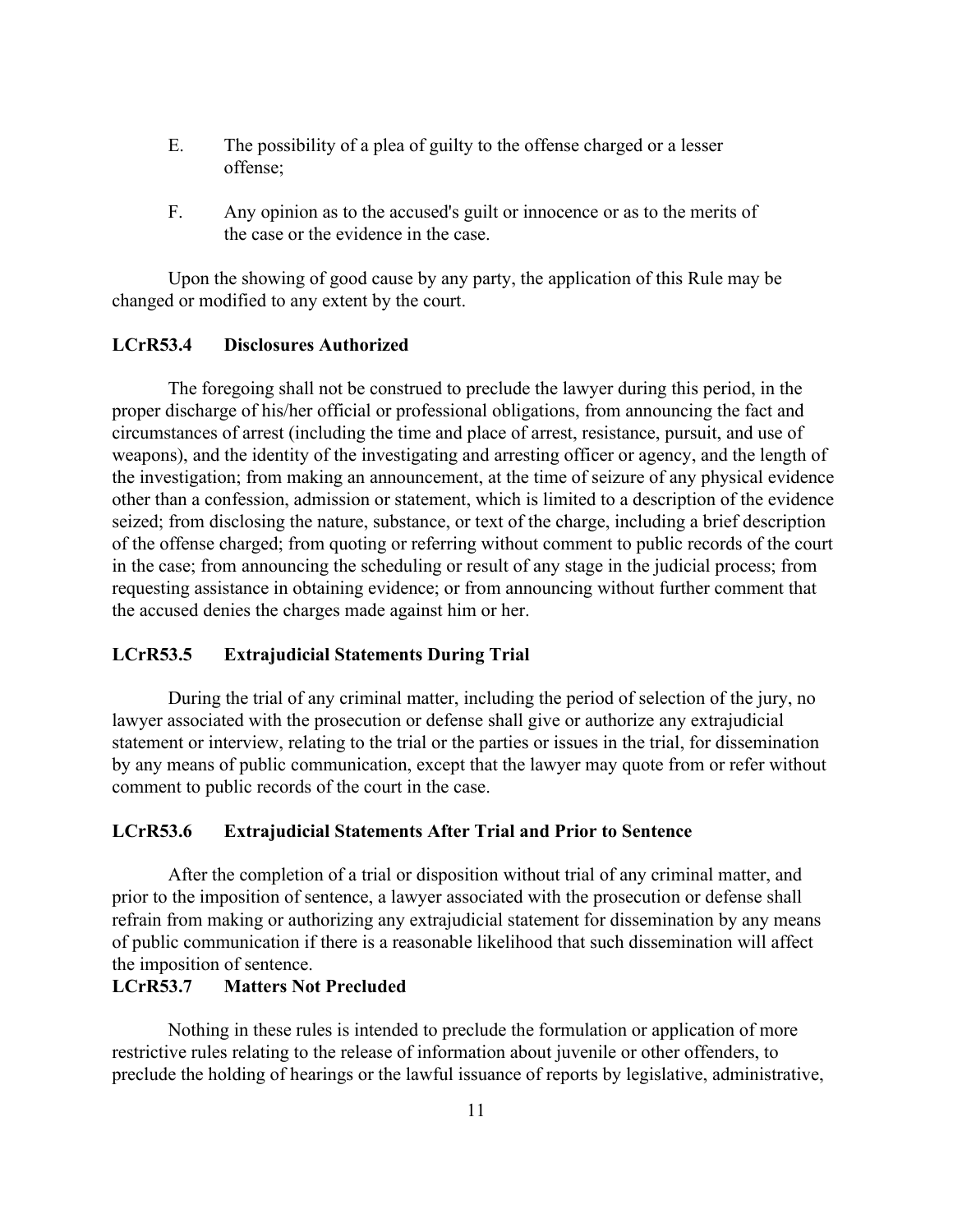- E. The possibility of a plea of guilty to the offense charged or a lesser offense;
- F. Any opinion as to the accused's guilt or innocence or as to the merits of the case or the evidence in the case.

Upon the showing of good cause by any party, the application of this Rule may be changed or modified to any extent by the court.

### <span id="page-10-0"></span>**LCrR53.4 Disclosures Authorized**

The foregoing shall not be construed to preclude the lawyer during this period, in the proper discharge of his/her official or professional obligations, from announcing the fact and circumstances of arrest (including the time and place of arrest, resistance, pursuit, and use of weapons), and the identity of the investigating and arresting officer or agency, and the length of the investigation; from making an announcement, at the time of seizure of any physical evidence other than a confession, admission or statement, which is limited to a description of the evidence seized; from disclosing the nature, substance, or text of the charge, including a brief description of the offense charged; from quoting or referring without comment to public records of the court in the case; from announcing the scheduling or result of any stage in the judicial process; from requesting assistance in obtaining evidence; or from announcing without further comment that the accused denies the charges made against him or her.

#### <span id="page-10-1"></span>**LCrR53.5 Extrajudicial Statements During Trial**

During the trial of any criminal matter, including the period of selection of the jury, no lawyer associated with the prosecution or defense shall give or authorize any extrajudicial statement or interview, relating to the trial or the parties or issues in the trial, for dissemination by any means of public communication, except that the lawyer may quote from or refer without comment to public records of the court in the case.

#### <span id="page-10-2"></span>**LCrR53.6 Extrajudicial Statements After Trial and Prior to Sentence**

After the completion of a trial or disposition without trial of any criminal matter, and prior to the imposition of sentence, a lawyer associated with the prosecution or defense shall refrain from making or authorizing any extrajudicial statement for dissemination by any means of public communication if there is a reasonable likelihood that such dissemination will affect the imposition of sentence.

# <span id="page-10-3"></span>**LCrR53.7 Matters Not Precluded**

Nothing in these rules is intended to preclude the formulation or application of more restrictive rules relating to the release of information about juvenile or other offenders, to preclude the holding of hearings or the lawful issuance of reports by legislative, administrative,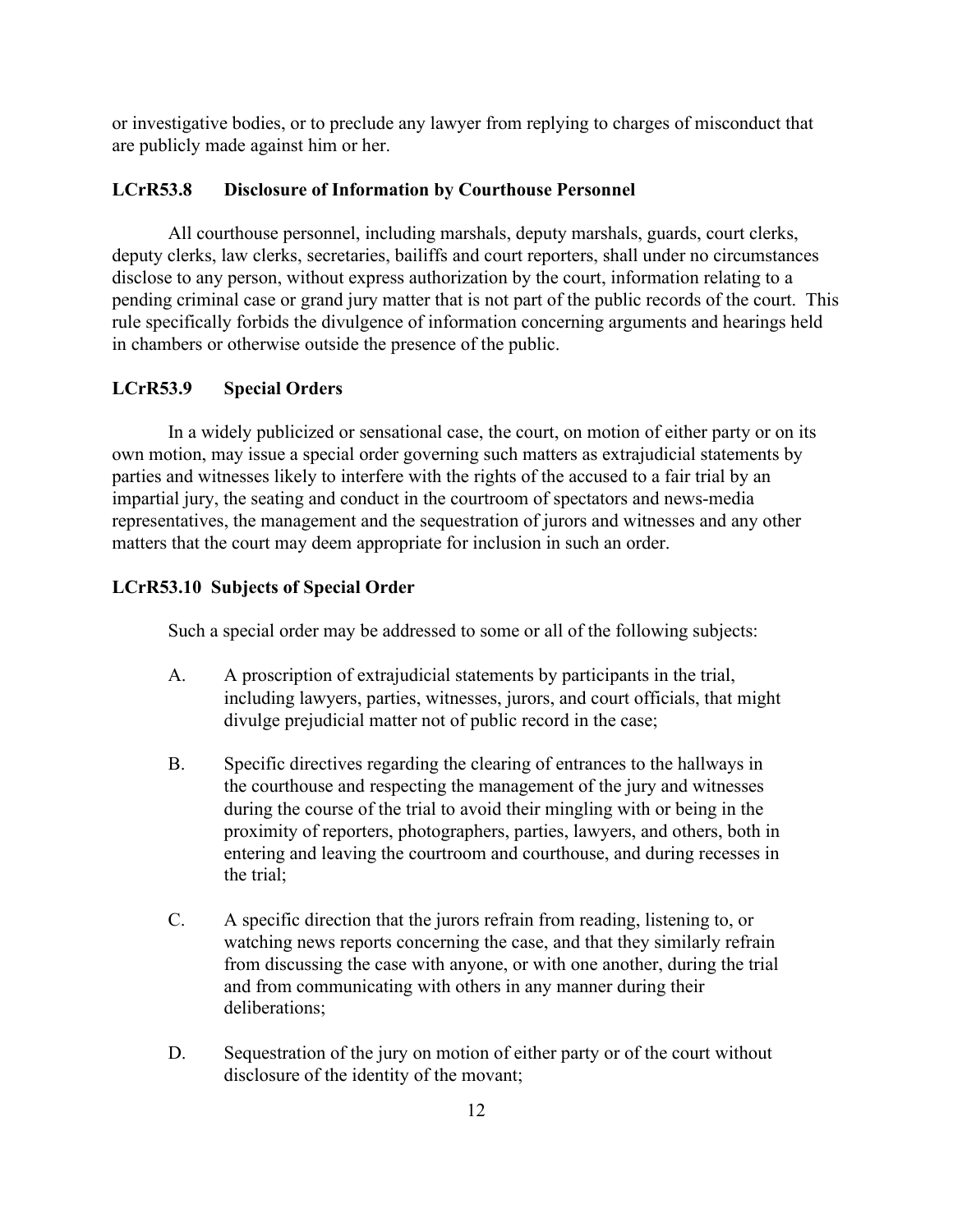or investigative bodies, or to preclude any lawyer from replying to charges of misconduct that are publicly made against him or her.

# <span id="page-11-0"></span>**LCrR53.8 Disclosure of Information by Courthouse Personnel**

All courthouse personnel, including marshals, deputy marshals, guards, court clerks, deputy clerks, law clerks, secretaries, bailiffs and court reporters, shall under no circumstances disclose to any person, without express authorization by the court, information relating to a pending criminal case or grand jury matter that is not part of the public records of the court. This rule specifically forbids the divulgence of information concerning arguments and hearings held in chambers or otherwise outside the presence of the public.

# <span id="page-11-1"></span>**LCrR53.9 Special Orders**

In a widely publicized or sensational case, the court, on motion of either party or on its own motion, may issue a special order governing such matters as extrajudicial statements by parties and witnesses likely to interfere with the rights of the accused to a fair trial by an impartial jury, the seating and conduct in the courtroom of spectators and news-media representatives, the management and the sequestration of jurors and witnesses and any other matters that the court may deem appropriate for inclusion in such an order.

### <span id="page-11-2"></span>**LCrR53.10 Subjects of Special Order**

Such a special order may be addressed to some or all of the following subjects:

- A. A proscription of extrajudicial statements by participants in the trial, including lawyers, parties, witnesses, jurors, and court officials, that might divulge prejudicial matter not of public record in the case;
- B. Specific directives regarding the clearing of entrances to the hallways in the courthouse and respecting the management of the jury and witnesses during the course of the trial to avoid their mingling with or being in the proximity of reporters, photographers, parties, lawyers, and others, both in entering and leaving the courtroom and courthouse, and during recesses in the trial;
- C. A specific direction that the jurors refrain from reading, listening to, or watching news reports concerning the case, and that they similarly refrain from discussing the case with anyone, or with one another, during the trial and from communicating with others in any manner during their deliberations;
- D. Sequestration of the jury on motion of either party or of the court without disclosure of the identity of the movant;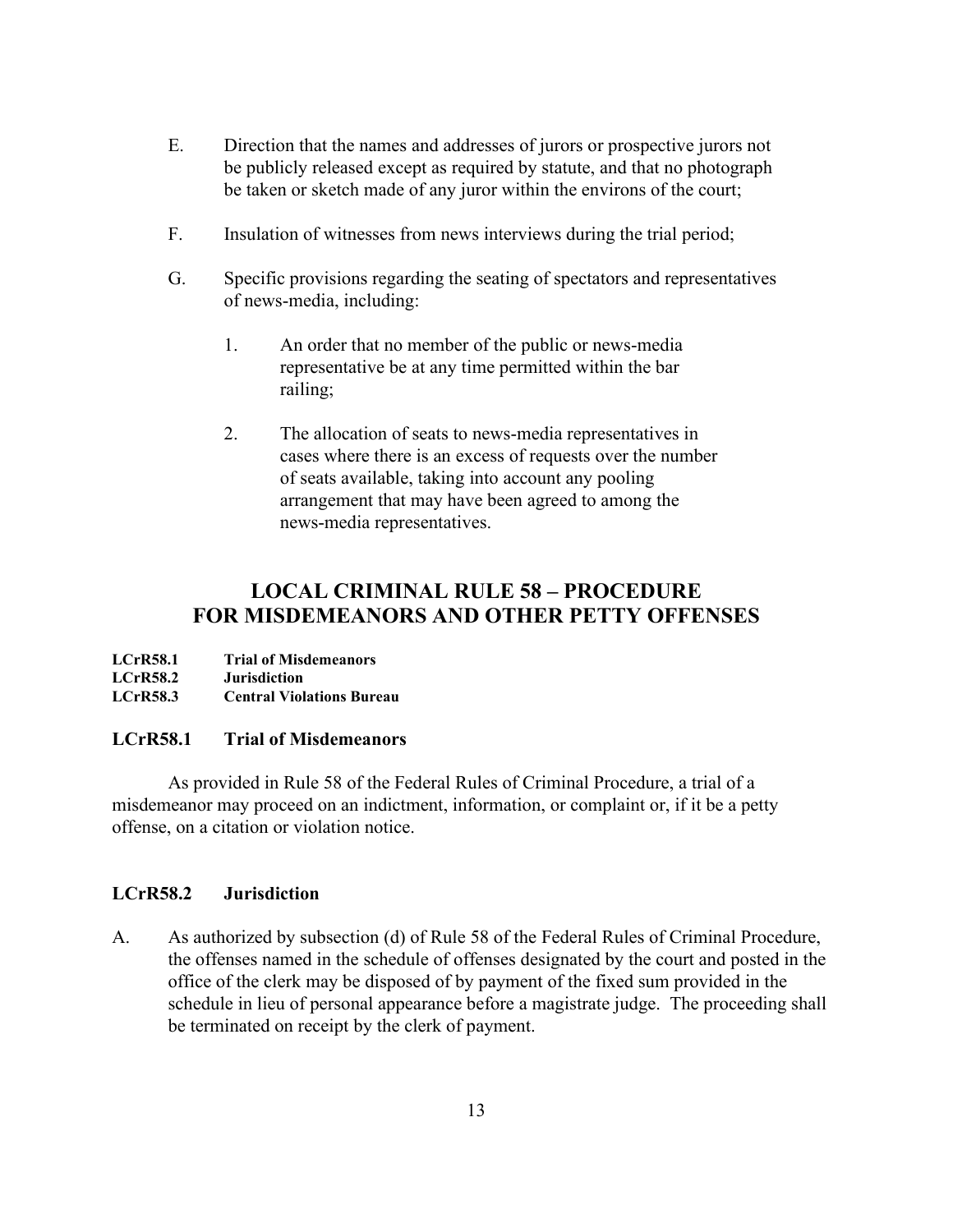- E. Direction that the names and addresses of jurors or prospective jurors not be publicly released except as required by statute, and that no photograph be taken or sketch made of any juror within the environs of the court;
- F. Insulation of witnesses from news interviews during the trial period;
- G. Specific provisions regarding the seating of spectators and representatives of news-media, including:
	- 1. An order that no member of the public or news-media representative be at any time permitted within the bar railing;
	- 2. The allocation of seats to news-media representatives in cases where there is an excess of requests over the number of seats available, taking into account any pooling arrangement that may have been agreed to among the news-media representatives.

# **LOCAL CRIMINAL RULE 58 – PROCEDURE FOR MISDEMEANORS AND OTHER PETTY OFFENSES**

<span id="page-12-0"></span>

| <b>LCrR58.1</b> | <b>Trial of Misdemeanors</b>     |
|-----------------|----------------------------------|
| <b>LCrR58.2</b> | Jurisdiction                     |
| <b>LCrR58.3</b> | <b>Central Violations Bureau</b> |

#### <span id="page-12-1"></span>**LCrR58.1 Trial of Misdemeanors**

As provided in Rule 58 of the Federal Rules of Criminal Procedure, a trial of a misdemeanor may proceed on an indictment, information, or complaint or, if it be a petty offense, on a citation or violation notice.

# <span id="page-12-2"></span>**LCrR58.2 Jurisdiction**

A. As authorized by subsection (d) of Rule 58 of the Federal Rules of Criminal Procedure, the offenses named in the schedule of offenses designated by the court and posted in the office of the clerk may be disposed of by payment of the fixed sum provided in the schedule in lieu of personal appearance before a magistrate judge. The proceeding shall be terminated on receipt by the clerk of payment.